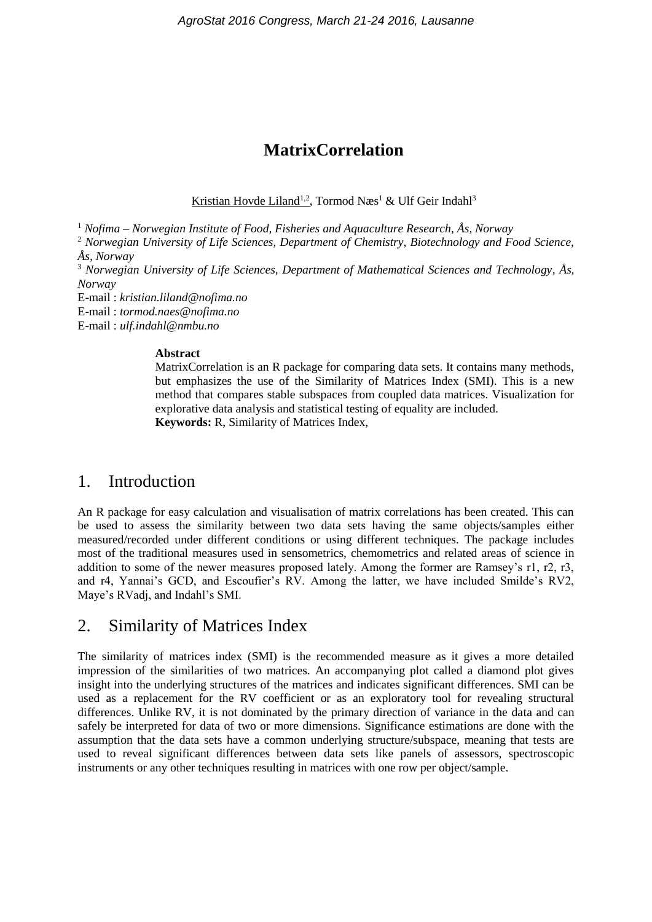# **MatrixCorrelation**

Kristian Hovde Liland<sup>1,2</sup>, Tormod Næs<sup>1</sup> & Ulf Geir Indahl<sup>3</sup>

<sup>1</sup> *Nofima – Norwegian Institute of Food, Fisheries and Aquaculture Research, Ås, Norway*

<sup>2</sup> *Norwegian University of Life Sciences, Department of Chemistry, Biotechnology and Food Science, Ås, Norway*

<sup>3</sup> *Norwegian University of Life Sciences, Department of Mathematical Sciences and Technology, Ås, Norway*

E-mail : *kristian.liland@nofima.no*

E-mail : *tormod.naes@nofima.no*

E-mail : *ulf.indahl@nmbu.no*

#### **Abstract**

MatrixCorrelation is an R package for comparing data sets. It contains many methods, but emphasizes the use of the Similarity of Matrices Index (SMI). This is a new method that compares stable subspaces from coupled data matrices. Visualization for explorative data analysis and statistical testing of equality are included. **Keywords:** R, Similarity of Matrices Index,

## 1. Introduction

An R package for easy calculation and visualisation of matrix correlations has been created. This can be used to assess the similarity between two data sets having the same objects/samples either measured/recorded under different conditions or using different techniques. The package includes most of the traditional measures used in sensometrics, chemometrics and related areas of science in addition to some of the newer measures proposed lately. Among the former are Ramsey's r1, r2, r3, and r4, Yannai's GCD, and Escoufier's RV. Among the latter, we have included Smilde's RV2, Maye's RVadj, and Indahl's SMI.

## 2. Similarity of Matrices Index

The similarity of matrices index (SMI) is the recommended measure as it gives a more detailed impression of the similarities of two matrices. An accompanying plot called a diamond plot gives insight into the underlying structures of the matrices and indicates significant differences. SMI can be used as a replacement for the RV coefficient or as an exploratory tool for revealing structural differences. Unlike RV, it is not dominated by the primary direction of variance in the data and can safely be interpreted for data of two or more dimensions. Significance estimations are done with the assumption that the data sets have a common underlying structure/subspace, meaning that tests are used to reveal significant differences between data sets like panels of assessors, spectroscopic instruments or any other techniques resulting in matrices with one row per object/sample.